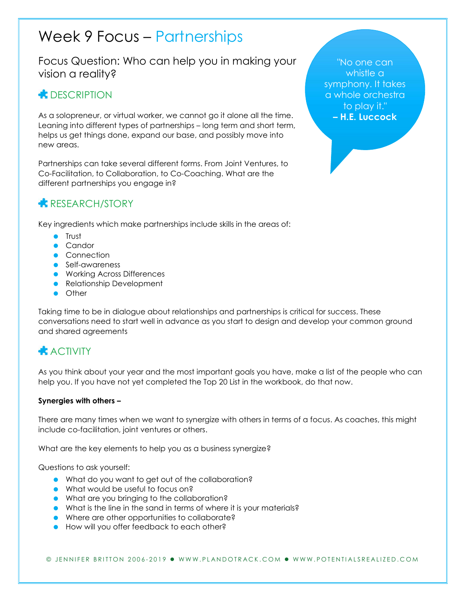# Week 9 Focus – Partnerships

Focus Question: Who can help you in making your vision a reality?

## **CONDUCTER** DESCRIPTION

As a solopreneur, or virtual worker, we cannot go it alone all the time. Leaning into different types of partnerships – long term and short term, helps us get things done, expand our base, and possibly move into new areas.

Partnerships can take several different forms. From Joint Ventures, to Co-Facilitation, to Collaboration, to Co-Coaching. What are the different partnerships you engage in?

#### **RESEARCH/STORY**

Key ingredients which make partnerships include skills in the areas of:

- **C** Trust
- Candor
- **Connection**
- **Self-awareness**
- **Working Across Differences**
- **•** Relationship Development
- **•** Other

Taking time to be in dialogue about relationships and partnerships is critical for success. These conversations need to start well in advance as you start to design and develop your common ground and shared agreements

### **ACTIVITY**

As you think about your year and the most important goals you have, make a list of the people who can help you. If you have not yet completed the Top 20 List in the workbook, do that now.

#### Synergies with others –

There are many times when we want to synergize with others in terms of a focus. As coaches, this might include co-facilitation, joint ventures or others.

What are the key elements to help you as a business synergize?

Questions to ask yourself:

- What do you want to get out of the collaboration?
- **•** What would be useful to focus on?
- What are you bringing to the collaboration?
- What is the line in the sand in terms of where it is your materials?
- Where are other opportunities to collaborate?
- **•** How will you offer feedback to each other?

"No one can whistle a symphony. It takes a whole orchestra to play it." – H.E. Luccock